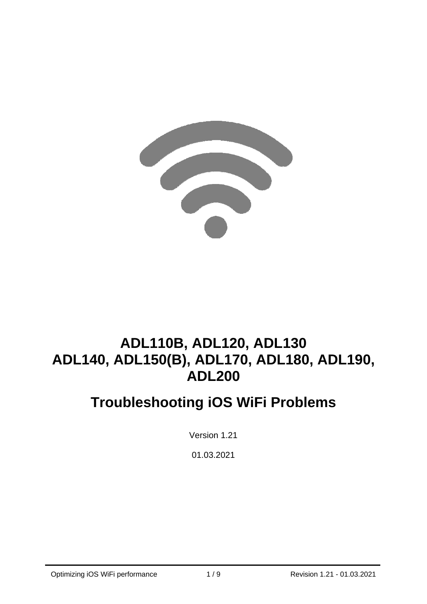

# **ADL110B, ADL120, ADL130 ADL140, ADL150(B), ADL170, ADL180, ADL190, ADL200**

# **Troubleshooting iOS WiFi Problems**

Version 1.21

01.03.2021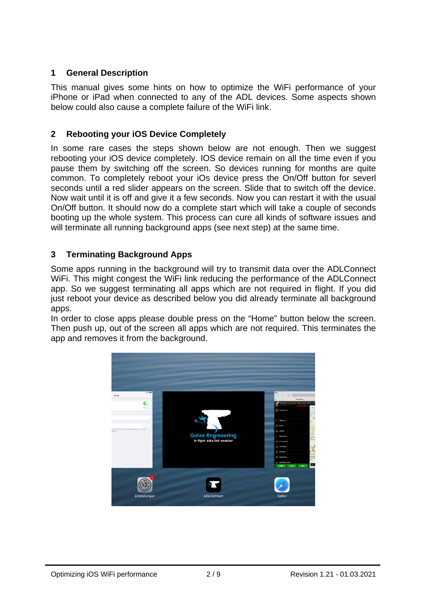## **1 General Description**

This manual gives some hints on how to optimize the WiFi performance of your iPhone or iPad when connected to any of the ADL devices. Some aspects shown below could also cause a complete failure of the WiFi link.

### **2 Rebooting your iOS Device Completely**

In some rare cases the steps shown below are not enough. Then we suggest rebooting your iOS device completely. IOS device remain on all the time even if you pause them by switching off the screen. So devices running for months are quite common. To completely reboot your iOs device press the On/Off button for severl seconds until a red slider appears on the screen. Slide that to switch off the device. Now wait until it is off and give it a few seconds. Now you can restart it with the usual On/Off button. It should now do a complete start which will take a couple of seconds booting up the whole system. This process can cure all kinds of software issues and will terminate all running background apps (see next step) at the same time.

# **3 Terminating Background Apps**

Some apps running in the background will try to transmit data over the ADLConnect WiFi. This might congest the WiFi link reducing the performance of the ADLConnect app. So we suggest terminating all apps which are not required in flight. If you did just reboot your device as described below you did already terminate all background apps.

In order to close apps please double press on the "Home" button below the screen. Then push up, out of the screen all apps which are not required. This terminates the app and removes it from the background.

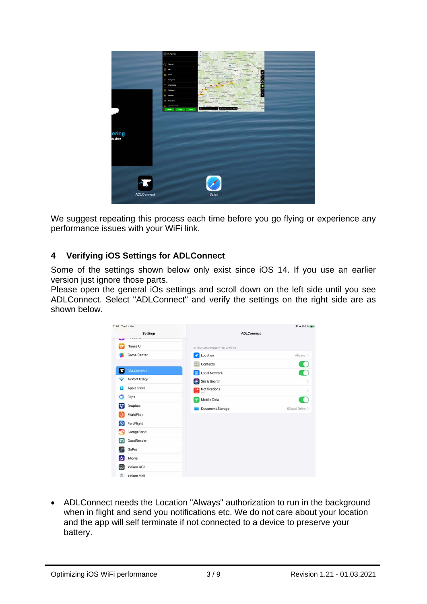

We suggest repeating this process each time before you go flying or experience any performance issues with your WiFi link.

### **4 Verifying iOS Settings for ADLConnect**

Some of the settings shown below only exist since iOS 14. If you use an earlier version just ignore those parts.

Please open the general iOs settings and scroll down on the left side until you see ADLConnect. Select "ADLConnect" and verify the settings on the right side are as shown below.

| 21:03 Tue 13. Oct |                                       |                            | 令 → 100 % 图像   |
|-------------------|---------------------------------------|----------------------------|----------------|
|                   | Settings<br><b><i>BY R-RF R-T</i></b> | <b>ADLConnect</b>          |                |
| متلئة             | iTunes U                              | ALLOW ADLCONNECT TO ACCESS |                |
|                   | Game Center                           | Location<br>٠              | Always >       |
|                   |                                       | Contacts<br>⊚              |                |
| п                 | <b>ADLConnect</b>                     | Local Network<br>Ð         |                |
|                   | AirPort Utility                       | Siri & Search<br>×         | $\mathcal{P}$  |
|                   | Apple Store                           | Notifications              | ×              |
|                   | Clips                                 | Mobile Data<br>040         |                |
| u                 | Dropbox                               | Document Storage           | iCloud Drive > |
|                   | FlightPlan                            |                            |                |
| 燚                 | ForeFlight                            |                            |                |
|                   | GarageBand                            |                            |                |
| $\bullet$         | GoodReader                            |                            |                |
|                   | GoPro                                 |                            |                |
| ₩                 | <b>iMovie</b>                         |                            |                |
| ce                | Iridium GO!                           |                            |                |
| 西                 | Iridium Mail                          |                            |                |

• ADLConnect needs the Location "Always" authorization to run in the background when in flight and send you notifications etc. We do not care about your location and the app will self terminate if not connected to a device to preserve your battery.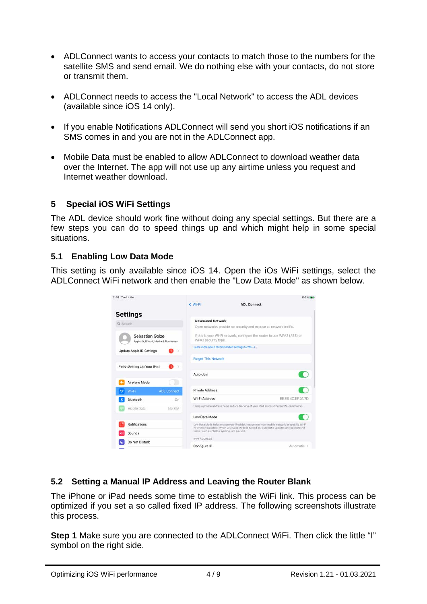- ADLConnect wants to access your contacts to match those to the numbers for the satellite SMS and send email. We do nothing else with your contacts, do not store or transmit them.
- ADLConnect needs to access the "Local Network" to access the ADL devices (available since iOS 14 only).
- If you enable Notifications ADLConnect will send you short iOS notifications if an SMS comes in and you are not in the ADLConnect app.
- Mobile Data must be enabled to allow ADLConnect to download weather data over the Internet. The app will not use up any airtime unless you request and Internet weather download.

### **5 Special iOS WiFi Settings**

The ADL device should work fine without doing any special settings. But there are a few steps you can do to speed things up and which might help in some special situations.

## **5.1 Enabling Low Data Mode**

This setting is only available since iOS 14. Open the iOs WiFi settings, select the ADLConnect WiFi network and then enable the "Low Data Mode" as shown below.

| 21:35 Tue 13. Oct           |                                     | < Wi-Fi                                    | 100 % 84<br><b>ADL Connect</b>                                                                                                                                                       |
|-----------------------------|-------------------------------------|--------------------------------------------|--------------------------------------------------------------------------------------------------------------------------------------------------------------------------------------|
| <b>Settings</b>             |                                     |                                            |                                                                                                                                                                                      |
| Q Search                    |                                     | <b>Unsecured Network</b>                   | Open networks provide no security and expose all network traffic.                                                                                                                    |
| Sebastian Golze             | Apple ID, iCloud, Media & Purchases | WPA3 security type.                        | If this is your Wi-Fi network, configure the router to use WPA2 (AES) or                                                                                                             |
| Update Apple ID Settings    | 5                                   |                                            | Learn more about recommended settings for Wi-Fi                                                                                                                                      |
|                             |                                     | <b>Forget This Network</b>                 |                                                                                                                                                                                      |
| Finish Setting Up Your iPad | 5                                   |                                            |                                                                                                                                                                                      |
| Airplane Mode               |                                     | Auto-Join                                  |                                                                                                                                                                                      |
| Wi-Fi-                      | <b>ADL Connect</b>                  | Private Address                            |                                                                                                                                                                                      |
| Bluetooth                   | On                                  | Wi-Fi Address                              | EE:E6:4C:EF:7A:7D                                                                                                                                                                    |
| Mobile Data                 | No SIM                              |                                            | Using a private address helps reduce tracking of your iPad across different Wi-Fi networks.                                                                                          |
|                             |                                     | Low Data Mode                              |                                                                                                                                                                                      |
| Notifications               |                                     |                                            | Low Data Mode helps reduce your iPad data usage over your mobile network or specific Wi-Fi<br>networks you select. When Low Data Mode is turned on, automatic updates and background |
| Sounds                      |                                     | tasks, such as Photos syncing, are paused. |                                                                                                                                                                                      |
| Do Not Disturb              |                                     | <b>IPV4 ADDRESS</b>                        |                                                                                                                                                                                      |
|                             |                                     | Configure IP                               | Automatic >                                                                                                                                                                          |

# **5.2 Setting a Manual IP Address and Leaving the Router Blank**

The iPhone or iPad needs some time to establish the WiFi link. This process can be optimized if you set a so called fixed IP address. The following screenshots illustrate this process.

**Step 1** Make sure you are connected to the ADLConnect WiFi. Then click the little "I" symbol on the right side.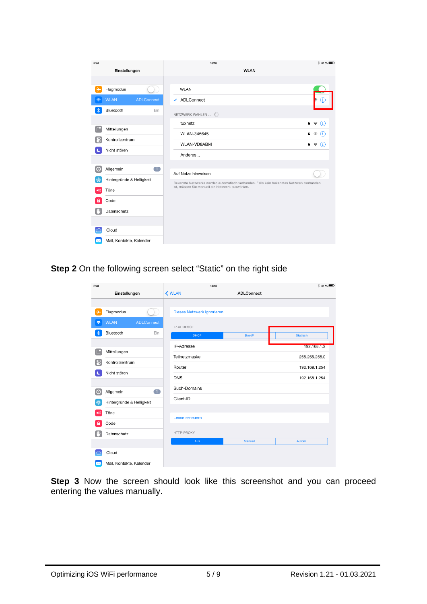| iPad                    |                             | 18:18                                                                                    | $$31\%$                               |
|-------------------------|-----------------------------|------------------------------------------------------------------------------------------|---------------------------------------|
|                         | Einstellungen               | <b>WLAN</b>                                                                              |                                       |
|                         |                             |                                                                                          |                                       |
| →                       | Flugmodus                   | <b>WLAN</b>                                                                              |                                       |
| $\widehat{\mathcal{P}}$ | <b>WLAN</b><br>ADLConnect   | ✔ ADLConnect                                                                             | Œ                                     |
| $\ast$                  | Bluetooth<br>Ein            | NETZWERK WÄHLEN                                                                          |                                       |
|                         |                             | Α.<br>tuxnetz                                                                            | $\widehat{\mathbf{z}}$ (i)            |
| Œ                       | Mitteilungen                | WLAN-345645<br>д                                                                         | Œ<br>ê,                               |
| ၉                       | Kontrollzentrum             | WLAN-VD8ABM<br>а                                                                         | G)<br>$\widehat{\boldsymbol{\cdot} }$ |
|                         | Nicht stören                | Anderes                                                                                  |                                       |
|                         |                             |                                                                                          |                                       |
| ∣⇔                      | $\blacksquare$<br>Allgemein | Auf Netze hinweisen                                                                      |                                       |
| \$                      | Hintergründe & Helligkeit   | Bekannte Netzwerke werden automatisch verbunden. Falls kein bekanntes Netzwerk vorhanden |                                       |
| $\blacktriangleleft$    | Töne                        | ist, müssen Sie manuell ein Netzwerk auswählen.                                          |                                       |
| e                       | Code                        |                                                                                          |                                       |
|                         | Datenschutz                 |                                                                                          |                                       |
|                         |                             |                                                                                          |                                       |
|                         | iCloud                      |                                                                                          |                                       |
|                         | Mail, Kontakte, Kalender    |                                                                                          |                                       |

**Step 2** On the following screen select "Static" on the right side

| iPad                    |                           |                | 18:18             | $*$ 81 %                   |                 |
|-------------------------|---------------------------|----------------|-------------------|----------------------------|-----------------|
| Einstellungen           |                           | K WLAN         | <b>ADLConnect</b> |                            |                 |
|                         |                           |                |                   |                            |                 |
| 4                       | Flugmodus                 |                |                   | Dieses Netzwerk ignorieren |                 |
| $\widehat{\mathcal{P}}$ | <b>WLAN</b>               | ADLConnect     | <b>IP-ADRESSE</b> |                            |                 |
| $\ast$                  | Bluetooth                 | Ein            | <b>DHCP</b>       | <b>BootP</b>               | <b>Statisch</b> |
|                         |                           |                | <b>IP-Adresse</b> |                            | 192.168.1.2     |
| r.                      | Mitteilungen              |                | Teilnetzmaske     |                            | 255.255.255.0   |
| ၙ                       | Kontrollzentrum           |                | Router            |                            | 192.168.1.254   |
| Nicht stören            |                           | <b>DNS</b>     |                   | 192.168.1.254              |                 |
|                         |                           |                | Such-Domains      |                            |                 |
| Ø                       | Allgemein                 | $\blacksquare$ |                   |                            |                 |
| \$                      | Hintergründe & Helligkeit |                | Client-ID         |                            |                 |
| $\blacktriangleleft$    | Töne                      |                | Lease erneuern    |                            |                 |
| е                       | Code                      |                |                   |                            |                 |
|                         | Datenschutz               |                | HTTP-PROXY        |                            |                 |
|                         |                           |                | Aus               | Manuell                    | Autom.          |
|                         | iCloud                    |                |                   |                            |                 |
|                         | Mail, Kontakte, Kalender  |                |                   |                            |                 |

**Step 3** Now the screen should look like this screenshot and you can proceed entering the values manually.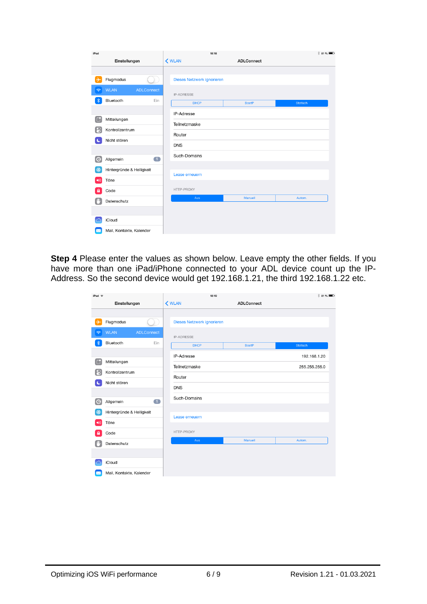| iPad                    |                                  | 18:18                      |  |                   |          |
|-------------------------|----------------------------------|----------------------------|--|-------------------|----------|
|                         | Einstellungen                    | K WLAN                     |  | <b>ADLConnect</b> |          |
|                         |                                  |                            |  |                   |          |
| →                       | Flugmodus                        | Dieses Netzwerk ignorieren |  |                   |          |
| $\widehat{\mathcal{P}}$ | <b>WLAN</b><br><b>ADLConnect</b> | <b>IP-ADRESSE</b>          |  |                   |          |
| $\ast$                  | Bluetooth<br>Ein                 | <b>DHCP</b>                |  | <b>BootP</b>      | Statisch |
|                         |                                  | IP-Adresse                 |  |                   |          |
| Œ                       | Mitteilungen                     | Teilnetzmaske              |  |                   |          |
| 8                       | Kontrollzentrum                  |                            |  |                   |          |
| k                       | Nicht stören                     | Router                     |  |                   |          |
|                         |                                  | <b>DNS</b>                 |  |                   |          |
| Ő                       | $\blacksquare$<br>Allgemein      | Such-Domains               |  |                   |          |
| \$                      | Hintergründe & Helligkeit        |                            |  |                   |          |
| $\blacktriangleleft$ i) | Töne                             | Lease erneuern             |  |                   |          |
| $\mathbf{a}$            | Code                             | HTTP-PROXY                 |  |                   |          |
| m,                      | Datenschutz                      | Aus                        |  | Manuell           | Autom.   |
|                         |                                  |                            |  |                   |          |
|                         | iCloud                           |                            |  |                   |          |
| ⋉                       | Mail, Kontakte, Kalender         |                            |  |                   |          |

**Step 4** Please enter the values as shown below. Leave empty the other fields. If you have more than one iPad/iPhone connected to your ADL device count up the IP-Address. So the second device would get 192.168.1.21, the third 192.168.1.22 etc.

| iPad $\widehat{\tau}$    |                                  |                | 18:19                      |                   | $$31\%$         |
|--------------------------|----------------------------------|----------------|----------------------------|-------------------|-----------------|
|                          | Einstellungen                    | <b>K</b> WLAN  |                            | <b>ADLConnect</b> |                 |
|                          |                                  |                |                            |                   |                 |
| ⊬                        | Flugmodus                        |                | Dieses Netzwerk ignorieren |                   |                 |
| $\widehat{\mathcal{P}}$  | <b>WLAN</b><br><b>ADLConnect</b> | IP-ADRESSE     |                            |                   |                 |
| $\ast$                   | Bluetooth<br>Ein                 |                | <b>DHCP</b>                | <b>BootP</b>      | <b>Statisch</b> |
|                          |                                  | IP-Adresse     |                            |                   | 192.168.1.20    |
| G                        | Mitteilungen                     | Teilnetzmaske  |                            |                   | 255.255.255.0   |
| 8                        | Kontrollzentrum                  | Router         |                            |                   |                 |
| x                        | Nicht stören                     | <b>DNS</b>     |                            |                   |                 |
|                          |                                  |                |                            |                   |                 |
| $\bigcirc$               | $\blacksquare$<br>Allgemein      | Such-Domains   |                            |                   |                 |
| \$                       | Hintergründe & Helligkeit        |                |                            |                   |                 |
| $\blacktriangleleft$ (i) | Töne                             | Lease erneuern |                            |                   |                 |
| e                        | Code                             | HTTP-PROXY     |                            |                   |                 |
|                          | Datenschutz                      |                | Aus                        | Manuell           | Autom.          |
|                          |                                  |                |                            |                   |                 |
|                          | iCloud                           |                |                            |                   |                 |
| $\boxtimes$              | Mail, Kontakte, Kalender         |                |                            |                   |                 |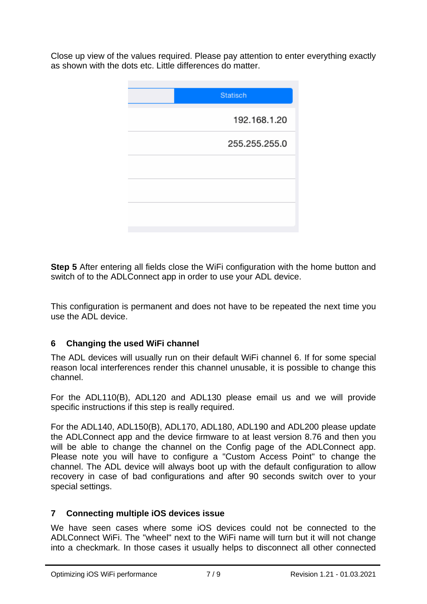Close up view of the values required. Please pay attention to enter everything exactly as shown with the dots etc. Little differences do matter.

| <b>Statisch</b> |
|-----------------|
| 192.168.1.20    |
| 255.255.255.0   |
|                 |
|                 |
|                 |
|                 |

**Step 5** After entering all fields close the WiFi configuration with the home button and switch of to the ADLConnect app in order to use your ADL device.

This configuration is permanent and does not have to be repeated the next time you use the ADL device.

### **6 Changing the used WiFi channel**

The ADL devices will usually run on their default WiFi channel 6. If for some special reason local interferences render this channel unusable, it is possible to change this channel.

For the ADL110(B), ADL120 and ADL130 please email us and we will provide specific instructions if this step is really required.

For the ADL140, ADL150(B), ADL170, ADL180, ADL190 and ADL200 please update the ADLConnect app and the device firmware to at least version 8.76 and then you will be able to change the channel on the Config page of the ADLConnect app. Please note you will have to configure a "Custom Access Point" to change the channel. The ADL device will always boot up with the default configuration to allow recovery in case of bad configurations and after 90 seconds switch over to your special settings.

### **7 Connecting multiple iOS devices issue**

We have seen cases where some iOS devices could not be connected to the ADLConnect WiFi. The "wheel" next to the WiFi name will turn but it will not change into a checkmark. In those cases it usually helps to disconnect all other connected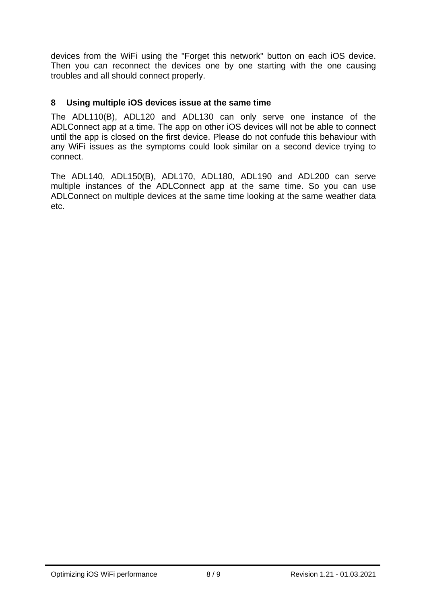devices from the WiFi using the "Forget this network" button on each iOS device. Then you can reconnect the devices one by one starting with the one causing troubles and all should connect properly.

## **8 Using multiple iOS devices issue at the same time**

The ADL110(B), ADL120 and ADL130 can only serve one instance of the ADLConnect app at a time. The app on other iOS devices will not be able to connect until the app is closed on the first device. Please do not confude this behaviour with any WiFi issues as the symptoms could look similar on a second device trying to connect.

The ADL140, ADL150(B), ADL170, ADL180, ADL190 and ADL200 can serve multiple instances of the ADLConnect app at the same time. So you can use ADLConnect on multiple devices at the same time looking at the same weather data etc.